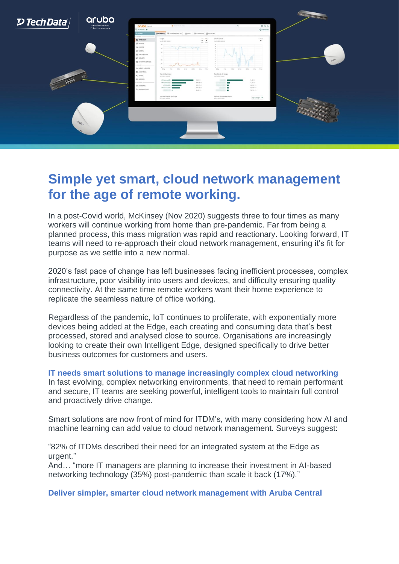

## **Simple yet smart, cloud network management for the age of remote working.**

In a post-Covid world, McKinsey (Nov 2020) suggests three to four times as many workers will continue working from home than pre-pandemic. Far from being a planned process, this mass migration was rapid and reactionary. Looking forward, IT teams will need to re-approach their cloud network management, ensuring it's fit for purpose as we settle into a new normal.

2020's fast pace of change has left businesses facing inefficient processes, complex infrastructure, poor visibility into users and devices, and difficulty ensuring quality connectivity. At the same time remote workers want their home experience to replicate the seamless nature of office working.

Regardless of the pandemic, IoT continues to proliferate, with exponentially more devices being added at the Edge, each creating and consuming data that's best processed, stored and analysed close to source. Organisations are increasingly looking to create their own Intelligent Edge, designed specifically to drive better business outcomes for customers and users.

**IT needs smart solutions to manage increasingly complex cloud networking** In fast evolving, complex networking environments, that need to remain performant and secure, IT teams are seeking powerful, intelligent tools to maintain full control and proactively drive change.

Smart solutions are now front of mind for ITDM's, with many considering how AI and machine learning can add value to cloud network management. Surveys suggest:

"82% of ITDMs described their need for an integrated system at the Edge as urgent."

And… "more IT managers are planning to increase their investment in AI-based networking technology (35%) post-pandemic than scale it back (17%)."

**Deliver simpler, smarter cloud network management with Aruba Central**